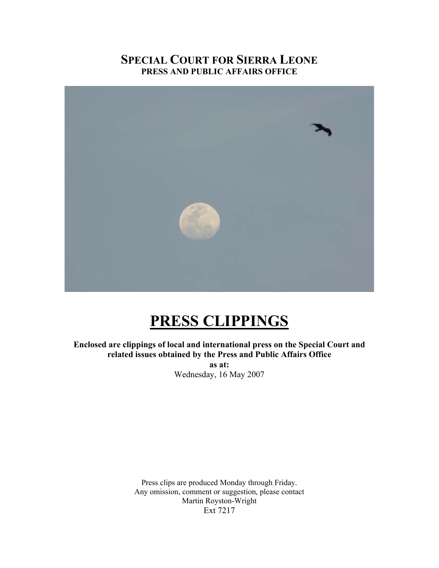# **SPECIAL COURT FOR SIERRA LEONE PRESS AND PUBLIC AFFAIRS OFFICE**



# **PRESS CLIPPINGS**

**Enclosed are clippings of local and international press on the Special Court and related issues obtained by the Press and Public Affairs Office as at:**  Wednesday, 16 May 2007

> Press clips are produced Monday through Friday. Any omission, comment or suggestion, please contact Martin Royston-Wright Ext 7217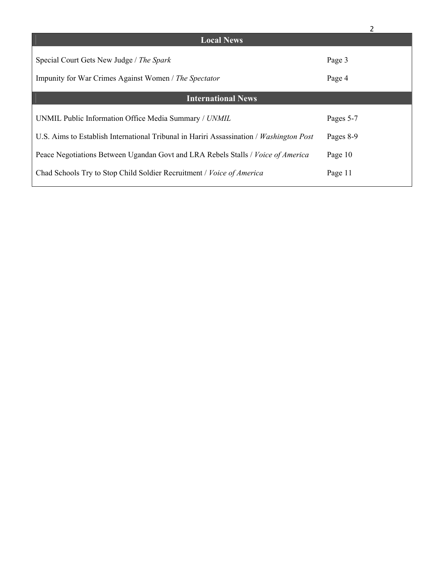| <b>Local News</b>                                                                       |           |
|-----------------------------------------------------------------------------------------|-----------|
| Special Court Gets New Judge / The Spark                                                | Page 3    |
| Impunity for War Crimes Against Women / The Spectator                                   | Page 4    |
|                                                                                         |           |
| <b>International News</b>                                                               |           |
| UNMIL Public Information Office Media Summary / UNMIL                                   | Pages 5-7 |
| U.S. Aims to Establish International Tribunal in Hariri Assassination / Washington Post | Pages 8-9 |
| Peace Negotiations Between Ugandan Govt and LRA Rebels Stalls / Voice of America        | Page 10   |
| Chad Schools Try to Stop Child Soldier Recruitment / Voice of America                   | Page 11   |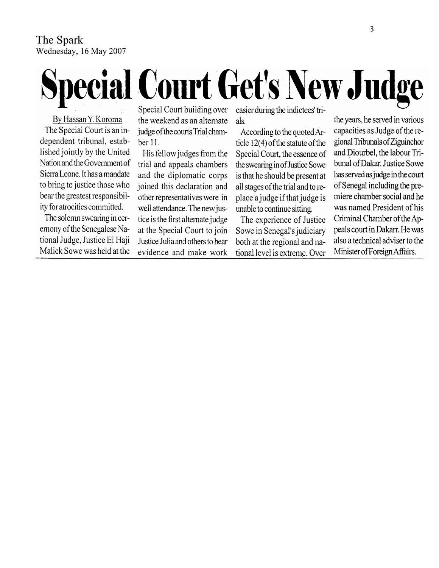# The Spark Wednesday, 16 May 2007

# **Special Court Get's New Judge**

By Hassan Y. Koroma The Special Court is an independent tribunal, established jointly by the United Nation and the Government of Sierra Leone. It has a mandate to bring to justice those who bear the greatest responsibility for atrocities committed.

The solemn swearing in ceremony of the Senegalese National Judge, Justice El Haji Malick Sowe was held at the Special Court building over the weekend as an alternate judge of the courts Trial chamber 11.

His fellow judges from the trial and appeals chambers and the diplomatic corps joined this declaration and other representatives were in well attendance. The new justice is the first alternate judge at the Special Court to join Justice Julia and others to hear evidence and make work easier during the indictees' trials.

According to the quoted Article 12(4) of the statute of the Special Court, the essence of the swearing in of Justice Sowe is that he should be present at all stages of the trial and to replace a judge if that judge is unable to continue sitting.

The experience of Justice Sowe in Senegal's judiciary both at the regional and national level is extreme. Over the years, he served in various capacities as Judge of the regional Tribunals of Ziguinchor and Diourbel, the labour Tribunal of Dakar. Justice Sowe has served as judge in the court of Senegal including the premiere chamber social and he was named President of his Criminal Chamber of the Appeals court in Dakarr. He was also a technical adviser to the Minister of Foreign Affairs.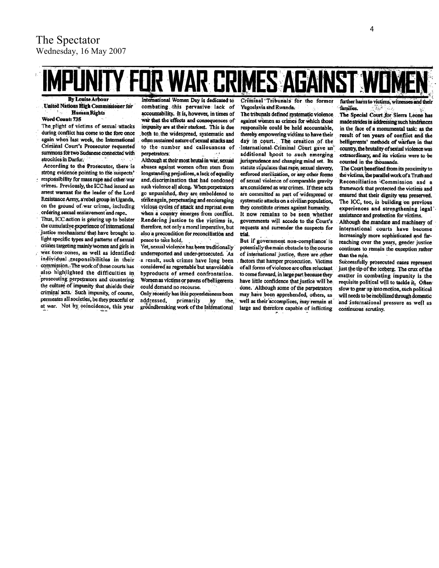# UR WAR ERIMES AGAINST **By Louise Arbour**

**United Nations High Commissioner for Human Rights**  $\mathcal{L}_{\mathcal{A}}$ 

#### Word Count: 735

The plight of victims of sexual attacks during conflict has come to the fore once again when last week, the International Criminal Court's Prosecutor requested summons for two Sudanese connected with atrocities in Darfur.

- According to the Prosecutor, there is strong evidence pointing to the suspects' responsibility for mass rape and other war crimes. Previously, the ICC had issued an
- arrest warrant for the leader of the Lord Resistance Army, a rebel group in Uganda, on the ground of war crimes, including ordering sexual enslavement and rape.
- Thus, ICC action is gearing up to bolster the cumulative experience of international justice mechanisms that have brought to light specific types and patterns of sexual crimes targeting mainly women and girls in
- war torn zones, as well as identified. individual responsibilities in their commission. The work of these courts has also highlighted the difficulties in prosecuting perpetrators and countering the culture of impunity that shields their criminal acts. Such impunity, of course, permeates all societies, be they peaceful or at war. Not by coincidence, this year

International Women Day is dedicated to combating this pervasive lack of accountability. It is, however, in times of war that the effects and consequences of impunity are at their starkest. This is due both to the widespread, systematic and often sustained nature of sexual attacks and to the number and callousness of perpetrators:

Although at their most brutal in war, sexual abuses against women often stem from longstanding prejudices, a lack of equality and discrimination that had condoned such violence all along. When perpetrators go unpunished, they are emboldened to strike again, perpetuating and encouraging vicious cycles of attack and reprisal even when a country emerges from conflict. Rendering justice to the victims is, therefore, not only a moral imperative, but also a precondition for reconciliation and peace to take hold.

Yet, sexual violence has been traditionally underreported and under-prosecuted. As a result, such crimes have long been considered as regrettable but unavoidable byproducts of armed confrontation. Women as victims or pawns of belligerents could demand no recourse.

Only recently has this powerlessness been addressed, primarily ,by the. groundbreaking work of the International

Criminal Tribunals for the former Yugoslavia and Rwanda:

The tribunals defined systematic violence against women as crimes for which those responsible could be held accountable, thereby empowering victims to have their day in court. The creation of the International Criminal Court gave an additional boost to such emerging jurisprudence and changing mind set. Its statute stipulates that rape, sexual slavery, enforced sterilization, or any other forms of sexual violence of comparable gravity are considered as war crimes. If these acts are committed as part of widespread or systematic attacks on a civilian population, they constitute crimes against humanity. It now remains to be seen whether governments will accede to the Court's requests and surrender the suspects for trial.

But if government non-compliance is potentially the main obstacle to the course of international justice, there are other factors that hamper prosecution. Victims of all forms of violence are often reluctant to come forward, in large part because they have little confidence that justice will be done. Although some of the perpetrators may have been apprehended, others, as well as their accomplices, may remain at large and therefore capable of inflicting further harm to victime witne families.

The Special Court for Sierra Leone has made strides in addressing such hindrances in the face of a monumental task: as the result of ten years of conflict and the belligerents' methods of warfare in that country, the brutality of sexual violence was extraordinary, and its victims were to be counted in the thousands.

The Court benefited from its proximity to the victims, the parallel work of a Truth and Reconciliation Commission and a framework that protected the victims and ensured that their dignity was preserved. The ICC, too, is building on previous experiences and strengthening legal assistance and protection for victims.

Although the mandate and machinery of international courts have become increasingly more sophisticated and farreaching over the years, gender justice continues to remain the exception rather than the rule.

Successfully prosecuted cases represent just the tip of the iceberg. The crux of the matter in combating impunity is the requisite political will to tackle it. Often slow to gear up into motion, such political. will needs to be mobilized through domestic and international pressure as well as continuous scrutiny.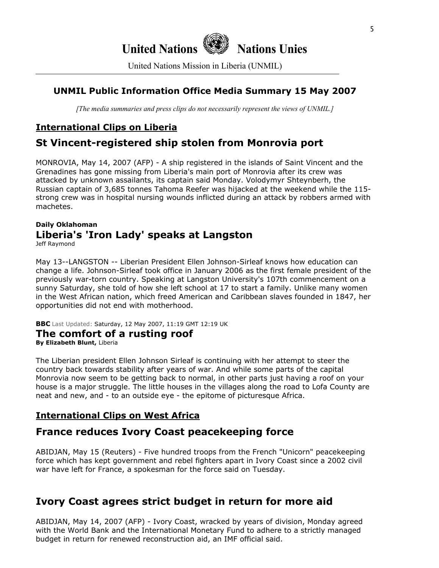**United Nations Nations Unies**

United Nations Mission in Liberia (UNMIL)

# **UNMIL Public Information Office Media Summary 15 May 2007**

*[The media summaries and press clips do not necessarily represent the views of UNMIL.]*

# **International Clips on Liberia**

# **St Vincent-registered ship stolen from Monrovia port**

MONROVIA, May 14, 2007 (AFP) - A ship registered in the islands of Saint Vincent and the Grenadines has gone missing from Liberia's main port of Monrovia after its crew was attacked by unknown assailants, its captain said Monday. Volodymyr Shteynberh, the Russian captain of 3,685 tonnes Tahoma Reefer was hijacked at the weekend while the 115 strong crew was in hospital nursing wounds inflicted during an attack by robbers armed with machetes.

# **Daily Oklahoman Liberia's 'Iron Lady' speaks at Langston**

Jeff Raymond

May 13--LANGSTON -- Liberian President Ellen Johnson-Sirleaf knows how education can change a life. Johnson-Sirleaf took office in January 2006 as the first female president of the previously war-torn country. Speaking at Langston University's 107th commencement on a sunny Saturday, she told of how she left school at 17 to start a family. Unlike many women in the West African nation, which freed American and Caribbean slaves founded in 1847, her opportunities did not end with motherhood.

**BBC** Last Updated: Saturday, 12 May 2007, 11:19 GMT 12:19 UK

#### **The comfort of a rusting roof**

**By Elizabeth Blunt,** Liberia

The Liberian president Ellen Johnson Sirleaf is continuing with her attempt to steer the country back towards stability after years of war. And while some parts of the capital Monrovia now seem to be getting back to normal, in other parts just having a roof on your house is a major struggle. The little houses in the villages along the road to Lofa County are neat and new, and - to an outside eye - the epitome of picturesque Africa.

# **International Clips on West Africa**

# **France reduces Ivory Coast peacekeeping force**

ABIDJAN, May 15 (Reuters) - Five hundred troops from the French "Unicorn" peacekeeping force which has kept government and rebel fighters apart in Ivory Coast since a 2002 civil war have left for France, a spokesman for the force said on Tuesday.

# **Ivory Coast agrees strict budget in return for more aid**

ABIDJAN, May 14, 2007 (AFP) - Ivory Coast, wracked by years of division, Monday agreed with the World Bank and the International Monetary Fund to adhere to a strictly managed budget in return for renewed reconstruction aid, an IMF official said.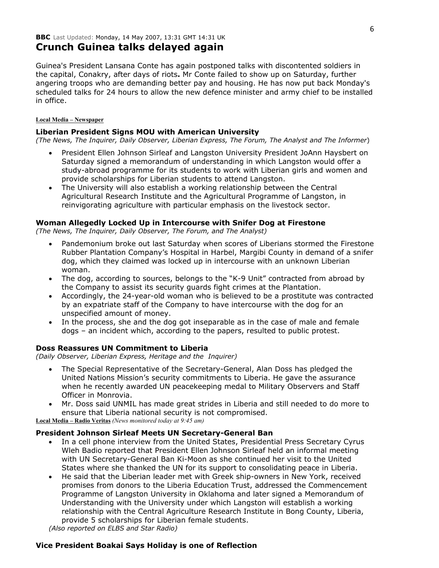Guinea's President Lansana Conte has again postponed talks with discontented soldiers in the capital, Conakry, after days of riots**.** Mr Conte failed to show up on Saturday, further angering troops who are demanding better pay and housing. He has now put back Monday's scheduled talks for 24 hours to allow the new defence minister and army chief to be installed in office.

#### **Local Media – Newspaper**

#### **Liberian President Signs MOU with American University**

*(The News, The Inquirer, Daily Observer, Liberian Express, The Forum, The Analyst and The Informer*)

- President Ellen Johnson Sirleaf and Langston University President JoAnn Haysbert on Saturday signed a memorandum of understanding in which Langston would offer a study-abroad programme for its students to work with Liberian girls and women and provide scholarships for Liberian students to attend Langston.
- The University will also establish a working relationship between the Central Agricultural Research Institute and the Agricultural Programme of Langston, in reinvigorating agriculture with particular emphasis on the livestock sector.

#### **Woman Allegedly Locked Up in Intercourse with Snifer Dog at Firestone**

*(The News, The Inquirer, Daily Observer, The Forum, and The Analyst)* 

- Pandemonium broke out last Saturday when scores of Liberians stormed the Firestone Rubber Plantation Company's Hospital in Harbel, Margibi County in demand of a snifer dog, which they claimed was locked up in intercourse with an unknown Liberian woman.
- The dog, according to sources, belongs to the "K-9 Unit" contracted from abroad by the Company to assist its security guards fight crimes at the Plantation.
- Accordingly, the 24-year-old woman who is believed to be a prostitute was contracted by an expatriate staff of the Company to have intercourse with the dog for an unspecified amount of money.
- In the process, she and the dog got inseparable as in the case of male and female dogs – an incident which, according to the papers, resulted to public protest.

#### **Doss Reassures UN Commitment to Liberia**

*(Daily Observer, Liberian Express, Heritage and the Inquirer)* 

- The Special Representative of the Secretary-General, Alan Doss has pledged the United Nations Mission's security commitments to Liberia. He gave the assurance when he recently awarded UN peacekeeping medal to Military Observers and Staff Officer in Monrovia.
- Mr. Doss said UNMIL has made great strides in Liberia and still needed to do more to ensure that Liberia national security is not compromised.

**Local Media – Radio Veritas** *(News monitored today at 9:45 am)*

#### **President Johnson Sirleaf Meets UN Secretary-General Ban**

- In a cell phone interview from the United States, Presidential Press Secretary Cyrus Wleh Badio reported that President Ellen Johnson Sirleaf held an informal meeting with UN Secretary-General Ban Ki-Moon as she continued her visit to the United States where she thanked the UN for its support to consolidating peace in Liberia.
- He said that the Liberian leader met with Greek ship-owners in New York, received promises from donors to the Liberia Education Trust, addressed the Commencement Programme of Langston University in Oklahoma and later signed a Memorandum of Understanding with the University under which Langston will establish a working relationship with the Central Agriculture Research Institute in Bong County, Liberia, provide 5 scholarships for Liberian female students.

*(Also reported on ELBS and Star Radio)*

#### **Vice President Boakai Says Holiday is one of Reflection**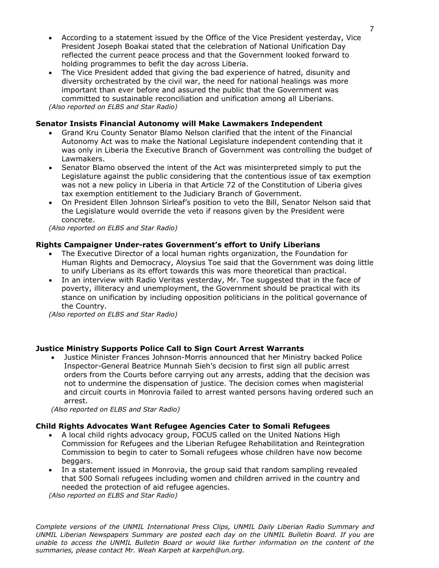- According to a statement issued by the Office of the Vice President yesterday, Vice President Joseph Boakai stated that the celebration of National Unification Day reflected the current peace process and that the Government looked forward to holding programmes to befit the day across Liberia.
- The Vice President added that giving the bad experience of hatred, disunity and diversity orchestrated by the civil war, the need for national healings was more important than ever before and assured the public that the Government was committed to sustainable reconciliation and unification among all Liberians. *(Also reported on ELBS and Star Radio)*

#### **Senator Insists Financial Autonomy will Make Lawmakers Independent**

- Grand Kru County Senator Blamo Nelson clarified that the intent of the Financial Autonomy Act was to make the National Legislature independent contending that it was only in Liberia the Executive Branch of Government was controlling the budget of Lawmakers.
- Senator Blamo observed the intent of the Act was misinterpreted simply to put the Legislature against the public considering that the contentious issue of tax exemption was not a new policy in Liberia in that Article 72 of the Constitution of Liberia gives tax exemption entitlement to the Judiciary Branch of Government.
- On President Ellen Johnson Sirleaf's position to veto the Bill, Senator Nelson said that the Legislature would override the veto if reasons given by the President were concrete.

*(Also reported on ELBS and Star Radio)*

#### **Rights Campaigner Under-rates Government's effort to Unify Liberians**

- The Executive Director of a local human rights organization, the Foundation for Human Rights and Democracy, Aloysius Toe said that the Government was doing little to unify Liberians as its effort towards this was more theoretical than practical.
- In an interview with Radio Veritas yesterday, Mr. Toe suggested that in the face of poverty, illiteracy and unemployment, the Government should be practical with its stance on unification by including opposition politicians in the political governance of the Country.

*(Also reported on ELBS and Star Radio)*

#### **Justice Ministry Supports Police Call to Sign Court Arrest Warrants**

• Justice Minister Frances Johnson-Morris announced that her Ministry backed Police Inspector-General Beatrice Munnah Sieh's decision to first sign all public arrest orders from the Courts before carrying out any arrests, adding that the decision was not to undermine the dispensation of justice. The decision comes when magisterial and circuit courts in Monrovia failed to arrest wanted persons having ordered such an arrest.

*(Also reported on ELBS and Star Radio)*

#### **Child Rights Advocates Want Refugee Agencies Cater to Somali Refugees**

- A local child rights advocacy group, FOCUS called on the United Nations High Commission for Refugees and the Liberian Refugee Rehabilitation and Reintegration Commission to begin to cater to Somali refugees whose children have now become beggars.
- In a statement issued in Monrovia, the group said that random sampling revealed that 500 Somali refugees including women and children arrived in the country and needed the protection of aid refugee agencies.

*(Also reported on ELBS and Star Radio)*

*Complete versions of the UNMIL International Press Clips, UNMIL Daily Liberian Radio Summary and UNMIL Liberian Newspapers Summary are posted each day on the UNMIL Bulletin Board. If you are*  unable to access the UNMIL Bulletin Board or would like further information on the content of the *summaries, please contact Mr. Weah Karpeh at karpeh@un.org.*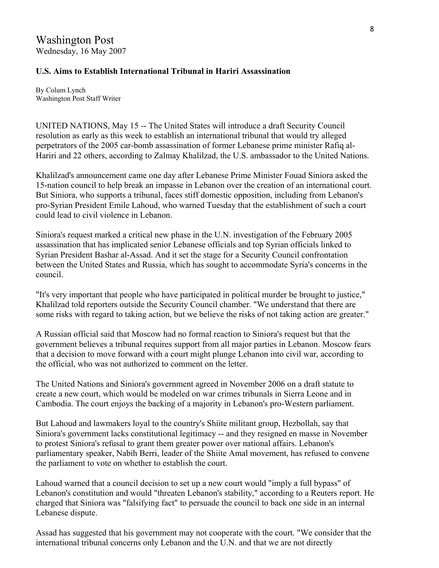## **U.S. Aims to Establish International Tribunal in Hariri Assassination**

By Colum Lynch Washington Post Staff Writer

UNITED NATIONS, May 15 -- The United States will introduce a draft Security Council resolution as early as this week to establish an international tribunal that would try alleged perpetrators of the 2005 car-bomb assassination of former Lebanese prime minister Rafiq al-Hariri and 22 others, according to Zalmay Khalilzad, the U.S. ambassador to the United Nations.

Khalilzad's announcement came one day after Lebanese Prime Minister Fouad Siniora asked the 15-nation council to help break an impasse in Lebanon over the creation of an international court. But Siniora, who supports a tribunal, faces stiff domestic opposition, including from Lebanon's pro-Syrian President Emile Lahoud, who warned Tuesday that the establishment of such a court could lead to civil violence in Lebanon.

Siniora's request marked a critical new phase in the U.N. investigation of the February 2005 assassination that has implicated senior Lebanese officials and top Syrian officials linked to Syrian President Bashar al-Assad. And it set the stage for a Security Council confrontation between the United States and Russia, which has sought to accommodate Syria's concerns in the council.

"It's very important that people who have participated in political murder be brought to justice," Khalilzad told reporters outside the Security Council chamber. "We understand that there are some risks with regard to taking action, but we believe the risks of not taking action are greater."

A Russian official said that Moscow had no formal reaction to Siniora's request but that the government believes a tribunal requires support from all major parties in Lebanon. Moscow fears that a decision to move forward with a court might plunge Lebanon into civil war, according to the official, who was not authorized to comment on the letter.

The United Nations and Siniora's government agreed in November 2006 on a draft statute to create a new court, which would be modeled on war crimes tribunals in Sierra Leone and in Cambodia. The court enjoys the backing of a majority in Lebanon's pro-Western parliament.

But Lahoud and lawmakers loyal to the country's Shiite militant group, Hezbollah, say that Siniora's government lacks constitutional legitimacy -- and they resigned en masse in November to protest Siniora's refusal to grant them greater power over national affairs. Lebanon's parliamentary speaker, Nabih Berri, leader of the Shiite Amal movement, has refused to convene the parliament to vote on whether to establish the court.

Lahoud warned that a council decision to set up a new court would "imply a full bypass" of Lebanon's constitution and would "threaten Lebanon's stability," according to a Reuters report. He charged that Siniora was "falsifying fact" to persuade the council to back one side in an internal Lebanese dispute.

Assad has suggested that his government may not cooperate with the court. "We consider that the international tribunal concerns only Lebanon and the U.N. and that we are not directly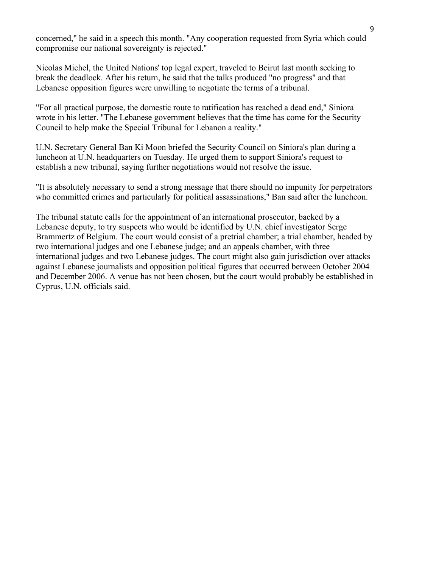concerned," he said in a speech this month. "Any cooperation requested from Syria which could compromise our national sovereignty is rejected."

Nicolas Michel, the United Nations' top legal expert, traveled to Beirut last month seeking to break the deadlock. After his return, he said that the talks produced "no progress" and that Lebanese opposition figures were unwilling to negotiate the terms of a tribunal.

"For all practical purpose, the domestic route to ratification has reached a dead end," Siniora wrote in his letter. "The Lebanese government believes that the time has come for the Security Council to help make the Special Tribunal for Lebanon a reality."

U.N. Secretary General Ban Ki Moon briefed the Security Council on Siniora's plan during a luncheon at U.N. headquarters on Tuesday. He urged them to support Siniora's request to establish a new tribunal, saying further negotiations would not resolve the issue.

"It is absolutely necessary to send a strong message that there should no impunity for perpetrators who committed crimes and particularly for political assassinations," Ban said after the luncheon.

The tribunal statute calls for the appointment of an international prosecutor, backed by a Lebanese deputy, to try suspects who would be identified by U.N. chief investigator Serge Brammertz of Belgium. The court would consist of a pretrial chamber; a trial chamber, headed by two international judges and one Lebanese judge; and an appeals chamber, with three international judges and two Lebanese judges. The court might also gain jurisdiction over attacks against Lebanese journalists and opposition political figures that occurred between October 2004 and December 2006. A venue has not been chosen, but the court would probably be established in Cyprus, U.N. officials said.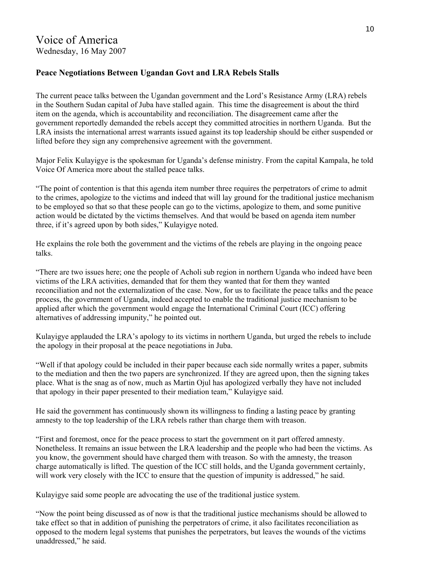# Voice of America Wednesday, 16 May 2007

## **Peace Negotiations Between Ugandan Govt and LRA Rebels Stalls**

The current peace talks between the Ugandan government and the Lord's Resistance Army (LRA) rebels in the Southern Sudan capital of Juba have stalled again. This time the disagreement is about the third item on the agenda, which is accountability and reconciliation. The disagreement came after the government reportedly demanded the rebels accept they committed atrocities in northern Uganda. But the LRA insists the international arrest warrants issued against its top leadership should be either suspended or lifted before they sign any comprehensive agreement with the government.

Major Felix Kulayigye is the spokesman for Uganda's defense ministry. From the capital Kampala, he told Voice Of America more about the stalled peace talks.

"The point of contention is that this agenda item number three requires the perpetrators of crime to admit to the crimes, apologize to the victims and indeed that will lay ground for the traditional justice mechanism to be employed so that so that these people can go to the victims, apologize to them, and some punitive action would be dictated by the victims themselves. And that would be based on agenda item number three, if it's agreed upon by both sides," Kulayigye noted.

He explains the role both the government and the victims of the rebels are playing in the ongoing peace talks.

"There are two issues here; one the people of Acholi sub region in northern Uganda who indeed have been victims of the LRA activities, demanded that for them they wanted that for them they wanted reconciliation and not the externalization of the case. Now, for us to facilitate the peace talks and the peace process, the government of Uganda, indeed accepted to enable the traditional justice mechanism to be applied after which the government would engage the International Criminal Court (ICC) offering alternatives of addressing impunity," he pointed out.

Kulayigye applauded the LRA's apology to its victims in northern Uganda, but urged the rebels to include the apology in their proposal at the peace negotiations in Juba.

"Well if that apology could be included in their paper because each side normally writes a paper, submits to the mediation and then the two papers are synchronized. If they are agreed upon, then the signing takes place. What is the snag as of now, much as Martin Ojul has apologized verbally they have not included that apology in their paper presented to their mediation team," Kulayigye said.

He said the government has continuously shown its willingness to finding a lasting peace by granting amnesty to the top leadership of the LRA rebels rather than charge them with treason.

"First and foremost, once for the peace process to start the government on it part offered amnesty. Nonetheless. It remains an issue between the LRA leadership and the people who had been the victims. As you know, the government should have charged them with treason. So with the amnesty, the treason charge automatically is lifted. The question of the ICC still holds, and the Uganda government certainly, will work very closely with the ICC to ensure that the question of impunity is addressed," he said.

Kulayigye said some people are advocating the use of the traditional justice system.

"Now the point being discussed as of now is that the traditional justice mechanisms should be allowed to take effect so that in addition of punishing the perpetrators of crime, it also facilitates reconciliation as opposed to the modern legal systems that punishes the perpetrators, but leaves the wounds of the victims unaddressed," he said.